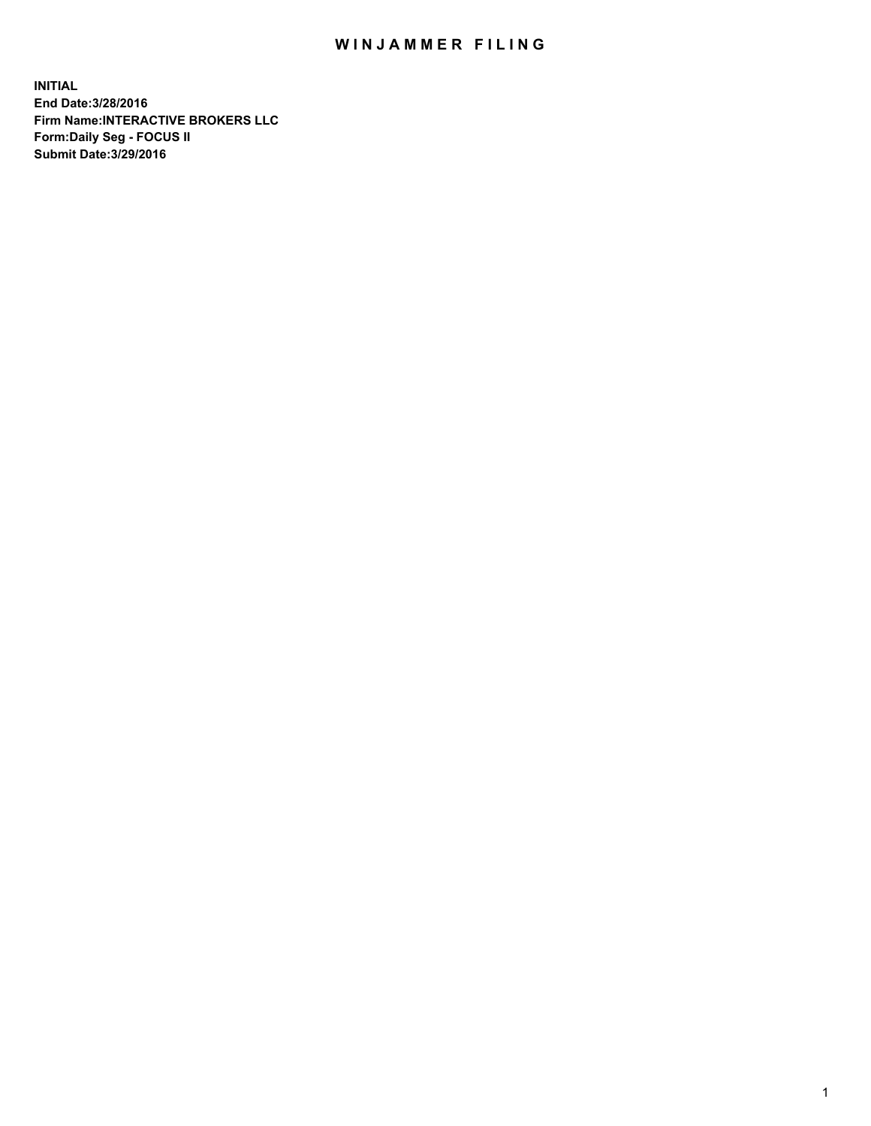## WIN JAMMER FILING

**INITIAL End Date:3/28/2016 Firm Name:INTERACTIVE BROKERS LLC Form:Daily Seg - FOCUS II Submit Date:3/29/2016**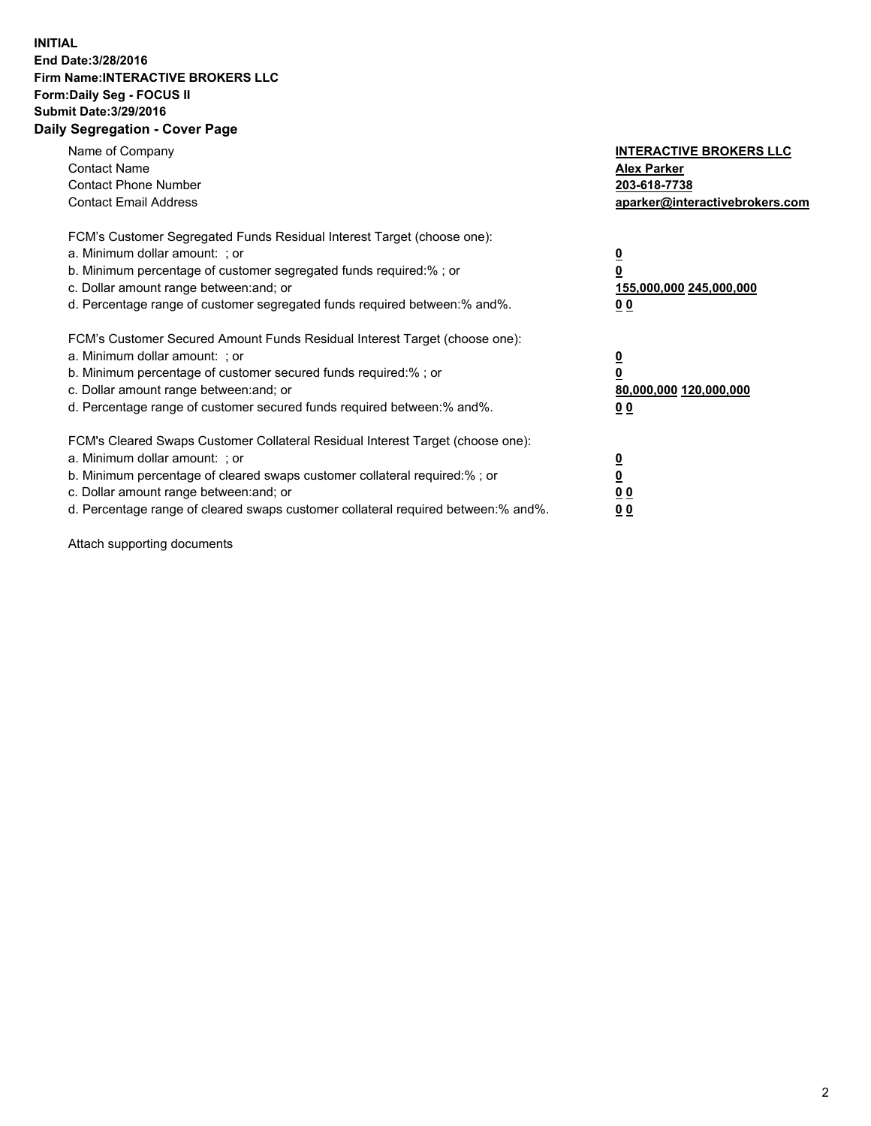## **INITIAL End Date:3/28/2016 Firm Name:INTERACTIVE BROKERS LLC Form:Daily Seg - FOCUS II Submit Date:3/29/2016 Daily Segregation - Cover Page**

| Name of Company<br><b>Contact Name</b><br><b>Contact Phone Number</b><br><b>Contact Email Address</b>                                                                                                                                                                                                                          | <b>INTERACTIVE BROKERS LLC</b><br><b>Alex Parker</b><br>203-618-7738<br>aparker@interactivebrokers.com |
|--------------------------------------------------------------------------------------------------------------------------------------------------------------------------------------------------------------------------------------------------------------------------------------------------------------------------------|--------------------------------------------------------------------------------------------------------|
| FCM's Customer Segregated Funds Residual Interest Target (choose one):<br>a. Minimum dollar amount: ; or<br>b. Minimum percentage of customer segregated funds required:%; or<br>c. Dollar amount range between: and; or<br>d. Percentage range of customer segregated funds required between:% and%.                          | <u>0</u><br>155,000,000 245,000,000<br><u>00</u>                                                       |
| FCM's Customer Secured Amount Funds Residual Interest Target (choose one):<br>a. Minimum dollar amount: ; or<br>b. Minimum percentage of customer secured funds required:% ; or<br>c. Dollar amount range between: and; or<br>d. Percentage range of customer secured funds required between: % and %.                         | <u>0</u><br>80,000,000 120,000,000<br><u>00</u>                                                        |
| FCM's Cleared Swaps Customer Collateral Residual Interest Target (choose one):<br>a. Minimum dollar amount: ; or<br>b. Minimum percentage of cleared swaps customer collateral required:% ; or<br>c. Dollar amount range between: and; or<br>d. Percentage range of cleared swaps customer collateral required between:% and%. | <u>0</u><br>0 <sub>0</sub><br>0 <sub>0</sub>                                                           |

Attach supporting documents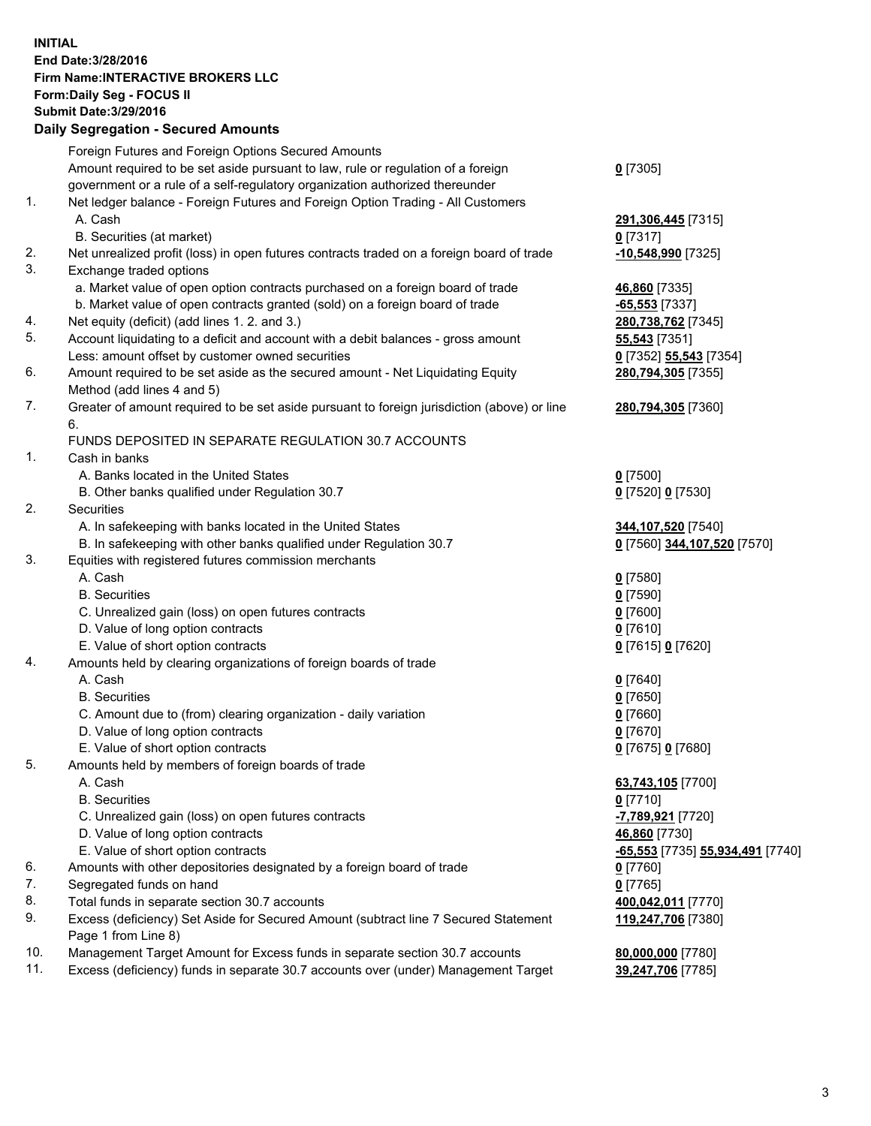## **INITIAL End Date:3/28/2016 Firm Name:INTERACTIVE BROKERS LLC Form:Daily Seg - FOCUS II Submit Date:3/29/2016 Daily Segregation - Secured Amounts**

| Foreign Futures and Foreign Options Secured Amounts<br>Amount required to be set aside pursuant to law, rule or regulation of a foreign<br>$0$ [7305]<br>government or a rule of a self-regulatory organization authorized thereunder<br>1.<br>Net ledger balance - Foreign Futures and Foreign Option Trading - All Customers<br>A. Cash<br>291,306,445 [7315]<br>B. Securities (at market)<br>$0$ [7317]<br>2.<br>Net unrealized profit (loss) in open futures contracts traded on a foreign board of trade<br>-10,548,990 [7325]<br>3.<br>Exchange traded options<br>a. Market value of open option contracts purchased on a foreign board of trade<br>46,860 [7335]<br>b. Market value of open contracts granted (sold) on a foreign board of trade<br>$-65,553$ [7337]<br>Net equity (deficit) (add lines 1. 2. and 3.)<br>4.<br>280,738,762 [7345]<br>5.<br>Account liquidating to a deficit and account with a debit balances - gross amount<br>55,543 [7351]<br>Less: amount offset by customer owned securities<br>0 [7352] 55,543 [7354]<br>6.<br>Amount required to be set aside as the secured amount - Net Liquidating Equity<br>280,794,305 [7355]<br>Method (add lines 4 and 5)<br>7.<br>Greater of amount required to be set aside pursuant to foreign jurisdiction (above) or line<br>280,794,305 [7360]<br>6.<br>FUNDS DEPOSITED IN SEPARATE REGULATION 30.7 ACCOUNTS<br>1.<br>Cash in banks<br>A. Banks located in the United States<br>$0$ [7500]<br>B. Other banks qualified under Regulation 30.7<br>0 [7520] 0 [7530]<br>2.<br>Securities<br>A. In safekeeping with banks located in the United States<br>344,107,520 [7540]<br>B. In safekeeping with other banks qualified under Regulation 30.7<br>0 [7560] 344,107,520 [7570]<br>3.<br>Equities with registered futures commission merchants<br>A. Cash<br>$0$ [7580]<br><b>B.</b> Securities<br>$0$ [7590]<br>C. Unrealized gain (loss) on open futures contracts<br>$0$ [7600]<br>D. Value of long option contracts<br>$0$ [7610]<br>E. Value of short option contracts<br>0 [7615] 0 [7620]<br>4.<br>Amounts held by clearing organizations of foreign boards of trade<br>A. Cash<br>$0$ [7640]<br><b>B.</b> Securities<br>$0$ [7650]<br>C. Amount due to (from) clearing organization - daily variation<br>$0$ [7660]<br>D. Value of long option contracts<br>$0$ [7670]<br>E. Value of short option contracts<br>0 [7675] 0 [7680]<br>5.<br>Amounts held by members of foreign boards of trade<br>A. Cash<br>63,743,105 [7700]<br><b>B.</b> Securities<br>$0$ [7710]<br>C. Unrealized gain (loss) on open futures contracts<br>-7,789,921 [7720]<br>D. Value of long option contracts<br>46,860 [7730]<br>E. Value of short option contracts<br>-65,553 [7735] 55,934,491 [7740]<br>6.<br>Amounts with other depositories designated by a foreign board of trade<br>0 [7760]<br>7.<br>Segregated funds on hand<br>$0$ [7765]<br>8.<br>Total funds in separate section 30.7 accounts<br>400,042,011 [7770]<br>9.<br>Excess (deficiency) Set Aside for Secured Amount (subtract line 7 Secured Statement<br>119,247,706 [7380]<br>Page 1 from Line 8) |     |                                                                             |                   |
|-------------------------------------------------------------------------------------------------------------------------------------------------------------------------------------------------------------------------------------------------------------------------------------------------------------------------------------------------------------------------------------------------------------------------------------------------------------------------------------------------------------------------------------------------------------------------------------------------------------------------------------------------------------------------------------------------------------------------------------------------------------------------------------------------------------------------------------------------------------------------------------------------------------------------------------------------------------------------------------------------------------------------------------------------------------------------------------------------------------------------------------------------------------------------------------------------------------------------------------------------------------------------------------------------------------------------------------------------------------------------------------------------------------------------------------------------------------------------------------------------------------------------------------------------------------------------------------------------------------------------------------------------------------------------------------------------------------------------------------------------------------------------------------------------------------------------------------------------------------------------------------------------------------------------------------------------------------------------------------------------------------------------------------------------------------------------------------------------------------------------------------------------------------------------------------------------------------------------------------------------------------------------------------------------------------------------------------------------------------------------------------------------------------------------------------------------------------------------------------------------------------------------------------------------------------------------------------------------------------------------------------------------------------------------------------------------------------------------------------------------------------------------------------------------------------------------------------------------------------------------------------------------------------------------------------------------------------------------------------------------------------------------------------------------------------------------------------------------------------------------------------|-----|-----------------------------------------------------------------------------|-------------------|
|                                                                                                                                                                                                                                                                                                                                                                                                                                                                                                                                                                                                                                                                                                                                                                                                                                                                                                                                                                                                                                                                                                                                                                                                                                                                                                                                                                                                                                                                                                                                                                                                                                                                                                                                                                                                                                                                                                                                                                                                                                                                                                                                                                                                                                                                                                                                                                                                                                                                                                                                                                                                                                                                                                                                                                                                                                                                                                                                                                                                                                                                                                                                     |     |                                                                             |                   |
|                                                                                                                                                                                                                                                                                                                                                                                                                                                                                                                                                                                                                                                                                                                                                                                                                                                                                                                                                                                                                                                                                                                                                                                                                                                                                                                                                                                                                                                                                                                                                                                                                                                                                                                                                                                                                                                                                                                                                                                                                                                                                                                                                                                                                                                                                                                                                                                                                                                                                                                                                                                                                                                                                                                                                                                                                                                                                                                                                                                                                                                                                                                                     |     |                                                                             |                   |
|                                                                                                                                                                                                                                                                                                                                                                                                                                                                                                                                                                                                                                                                                                                                                                                                                                                                                                                                                                                                                                                                                                                                                                                                                                                                                                                                                                                                                                                                                                                                                                                                                                                                                                                                                                                                                                                                                                                                                                                                                                                                                                                                                                                                                                                                                                                                                                                                                                                                                                                                                                                                                                                                                                                                                                                                                                                                                                                                                                                                                                                                                                                                     |     |                                                                             |                   |
|                                                                                                                                                                                                                                                                                                                                                                                                                                                                                                                                                                                                                                                                                                                                                                                                                                                                                                                                                                                                                                                                                                                                                                                                                                                                                                                                                                                                                                                                                                                                                                                                                                                                                                                                                                                                                                                                                                                                                                                                                                                                                                                                                                                                                                                                                                                                                                                                                                                                                                                                                                                                                                                                                                                                                                                                                                                                                                                                                                                                                                                                                                                                     |     |                                                                             |                   |
|                                                                                                                                                                                                                                                                                                                                                                                                                                                                                                                                                                                                                                                                                                                                                                                                                                                                                                                                                                                                                                                                                                                                                                                                                                                                                                                                                                                                                                                                                                                                                                                                                                                                                                                                                                                                                                                                                                                                                                                                                                                                                                                                                                                                                                                                                                                                                                                                                                                                                                                                                                                                                                                                                                                                                                                                                                                                                                                                                                                                                                                                                                                                     |     |                                                                             |                   |
|                                                                                                                                                                                                                                                                                                                                                                                                                                                                                                                                                                                                                                                                                                                                                                                                                                                                                                                                                                                                                                                                                                                                                                                                                                                                                                                                                                                                                                                                                                                                                                                                                                                                                                                                                                                                                                                                                                                                                                                                                                                                                                                                                                                                                                                                                                                                                                                                                                                                                                                                                                                                                                                                                                                                                                                                                                                                                                                                                                                                                                                                                                                                     |     |                                                                             |                   |
|                                                                                                                                                                                                                                                                                                                                                                                                                                                                                                                                                                                                                                                                                                                                                                                                                                                                                                                                                                                                                                                                                                                                                                                                                                                                                                                                                                                                                                                                                                                                                                                                                                                                                                                                                                                                                                                                                                                                                                                                                                                                                                                                                                                                                                                                                                                                                                                                                                                                                                                                                                                                                                                                                                                                                                                                                                                                                                                                                                                                                                                                                                                                     |     |                                                                             |                   |
|                                                                                                                                                                                                                                                                                                                                                                                                                                                                                                                                                                                                                                                                                                                                                                                                                                                                                                                                                                                                                                                                                                                                                                                                                                                                                                                                                                                                                                                                                                                                                                                                                                                                                                                                                                                                                                                                                                                                                                                                                                                                                                                                                                                                                                                                                                                                                                                                                                                                                                                                                                                                                                                                                                                                                                                                                                                                                                                                                                                                                                                                                                                                     |     |                                                                             |                   |
|                                                                                                                                                                                                                                                                                                                                                                                                                                                                                                                                                                                                                                                                                                                                                                                                                                                                                                                                                                                                                                                                                                                                                                                                                                                                                                                                                                                                                                                                                                                                                                                                                                                                                                                                                                                                                                                                                                                                                                                                                                                                                                                                                                                                                                                                                                                                                                                                                                                                                                                                                                                                                                                                                                                                                                                                                                                                                                                                                                                                                                                                                                                                     |     |                                                                             |                   |
|                                                                                                                                                                                                                                                                                                                                                                                                                                                                                                                                                                                                                                                                                                                                                                                                                                                                                                                                                                                                                                                                                                                                                                                                                                                                                                                                                                                                                                                                                                                                                                                                                                                                                                                                                                                                                                                                                                                                                                                                                                                                                                                                                                                                                                                                                                                                                                                                                                                                                                                                                                                                                                                                                                                                                                                                                                                                                                                                                                                                                                                                                                                                     |     |                                                                             |                   |
|                                                                                                                                                                                                                                                                                                                                                                                                                                                                                                                                                                                                                                                                                                                                                                                                                                                                                                                                                                                                                                                                                                                                                                                                                                                                                                                                                                                                                                                                                                                                                                                                                                                                                                                                                                                                                                                                                                                                                                                                                                                                                                                                                                                                                                                                                                                                                                                                                                                                                                                                                                                                                                                                                                                                                                                                                                                                                                                                                                                                                                                                                                                                     |     |                                                                             |                   |
|                                                                                                                                                                                                                                                                                                                                                                                                                                                                                                                                                                                                                                                                                                                                                                                                                                                                                                                                                                                                                                                                                                                                                                                                                                                                                                                                                                                                                                                                                                                                                                                                                                                                                                                                                                                                                                                                                                                                                                                                                                                                                                                                                                                                                                                                                                                                                                                                                                                                                                                                                                                                                                                                                                                                                                                                                                                                                                                                                                                                                                                                                                                                     |     |                                                                             |                   |
|                                                                                                                                                                                                                                                                                                                                                                                                                                                                                                                                                                                                                                                                                                                                                                                                                                                                                                                                                                                                                                                                                                                                                                                                                                                                                                                                                                                                                                                                                                                                                                                                                                                                                                                                                                                                                                                                                                                                                                                                                                                                                                                                                                                                                                                                                                                                                                                                                                                                                                                                                                                                                                                                                                                                                                                                                                                                                                                                                                                                                                                                                                                                     |     |                                                                             |                   |
|                                                                                                                                                                                                                                                                                                                                                                                                                                                                                                                                                                                                                                                                                                                                                                                                                                                                                                                                                                                                                                                                                                                                                                                                                                                                                                                                                                                                                                                                                                                                                                                                                                                                                                                                                                                                                                                                                                                                                                                                                                                                                                                                                                                                                                                                                                                                                                                                                                                                                                                                                                                                                                                                                                                                                                                                                                                                                                                                                                                                                                                                                                                                     |     |                                                                             |                   |
|                                                                                                                                                                                                                                                                                                                                                                                                                                                                                                                                                                                                                                                                                                                                                                                                                                                                                                                                                                                                                                                                                                                                                                                                                                                                                                                                                                                                                                                                                                                                                                                                                                                                                                                                                                                                                                                                                                                                                                                                                                                                                                                                                                                                                                                                                                                                                                                                                                                                                                                                                                                                                                                                                                                                                                                                                                                                                                                                                                                                                                                                                                                                     |     |                                                                             |                   |
|                                                                                                                                                                                                                                                                                                                                                                                                                                                                                                                                                                                                                                                                                                                                                                                                                                                                                                                                                                                                                                                                                                                                                                                                                                                                                                                                                                                                                                                                                                                                                                                                                                                                                                                                                                                                                                                                                                                                                                                                                                                                                                                                                                                                                                                                                                                                                                                                                                                                                                                                                                                                                                                                                                                                                                                                                                                                                                                                                                                                                                                                                                                                     |     |                                                                             |                   |
|                                                                                                                                                                                                                                                                                                                                                                                                                                                                                                                                                                                                                                                                                                                                                                                                                                                                                                                                                                                                                                                                                                                                                                                                                                                                                                                                                                                                                                                                                                                                                                                                                                                                                                                                                                                                                                                                                                                                                                                                                                                                                                                                                                                                                                                                                                                                                                                                                                                                                                                                                                                                                                                                                                                                                                                                                                                                                                                                                                                                                                                                                                                                     |     |                                                                             |                   |
|                                                                                                                                                                                                                                                                                                                                                                                                                                                                                                                                                                                                                                                                                                                                                                                                                                                                                                                                                                                                                                                                                                                                                                                                                                                                                                                                                                                                                                                                                                                                                                                                                                                                                                                                                                                                                                                                                                                                                                                                                                                                                                                                                                                                                                                                                                                                                                                                                                                                                                                                                                                                                                                                                                                                                                                                                                                                                                                                                                                                                                                                                                                                     |     |                                                                             |                   |
|                                                                                                                                                                                                                                                                                                                                                                                                                                                                                                                                                                                                                                                                                                                                                                                                                                                                                                                                                                                                                                                                                                                                                                                                                                                                                                                                                                                                                                                                                                                                                                                                                                                                                                                                                                                                                                                                                                                                                                                                                                                                                                                                                                                                                                                                                                                                                                                                                                                                                                                                                                                                                                                                                                                                                                                                                                                                                                                                                                                                                                                                                                                                     |     |                                                                             |                   |
|                                                                                                                                                                                                                                                                                                                                                                                                                                                                                                                                                                                                                                                                                                                                                                                                                                                                                                                                                                                                                                                                                                                                                                                                                                                                                                                                                                                                                                                                                                                                                                                                                                                                                                                                                                                                                                                                                                                                                                                                                                                                                                                                                                                                                                                                                                                                                                                                                                                                                                                                                                                                                                                                                                                                                                                                                                                                                                                                                                                                                                                                                                                                     |     |                                                                             |                   |
|                                                                                                                                                                                                                                                                                                                                                                                                                                                                                                                                                                                                                                                                                                                                                                                                                                                                                                                                                                                                                                                                                                                                                                                                                                                                                                                                                                                                                                                                                                                                                                                                                                                                                                                                                                                                                                                                                                                                                                                                                                                                                                                                                                                                                                                                                                                                                                                                                                                                                                                                                                                                                                                                                                                                                                                                                                                                                                                                                                                                                                                                                                                                     |     |                                                                             |                   |
|                                                                                                                                                                                                                                                                                                                                                                                                                                                                                                                                                                                                                                                                                                                                                                                                                                                                                                                                                                                                                                                                                                                                                                                                                                                                                                                                                                                                                                                                                                                                                                                                                                                                                                                                                                                                                                                                                                                                                                                                                                                                                                                                                                                                                                                                                                                                                                                                                                                                                                                                                                                                                                                                                                                                                                                                                                                                                                                                                                                                                                                                                                                                     |     |                                                                             |                   |
|                                                                                                                                                                                                                                                                                                                                                                                                                                                                                                                                                                                                                                                                                                                                                                                                                                                                                                                                                                                                                                                                                                                                                                                                                                                                                                                                                                                                                                                                                                                                                                                                                                                                                                                                                                                                                                                                                                                                                                                                                                                                                                                                                                                                                                                                                                                                                                                                                                                                                                                                                                                                                                                                                                                                                                                                                                                                                                                                                                                                                                                                                                                                     |     |                                                                             |                   |
|                                                                                                                                                                                                                                                                                                                                                                                                                                                                                                                                                                                                                                                                                                                                                                                                                                                                                                                                                                                                                                                                                                                                                                                                                                                                                                                                                                                                                                                                                                                                                                                                                                                                                                                                                                                                                                                                                                                                                                                                                                                                                                                                                                                                                                                                                                                                                                                                                                                                                                                                                                                                                                                                                                                                                                                                                                                                                                                                                                                                                                                                                                                                     |     |                                                                             |                   |
|                                                                                                                                                                                                                                                                                                                                                                                                                                                                                                                                                                                                                                                                                                                                                                                                                                                                                                                                                                                                                                                                                                                                                                                                                                                                                                                                                                                                                                                                                                                                                                                                                                                                                                                                                                                                                                                                                                                                                                                                                                                                                                                                                                                                                                                                                                                                                                                                                                                                                                                                                                                                                                                                                                                                                                                                                                                                                                                                                                                                                                                                                                                                     |     |                                                                             |                   |
|                                                                                                                                                                                                                                                                                                                                                                                                                                                                                                                                                                                                                                                                                                                                                                                                                                                                                                                                                                                                                                                                                                                                                                                                                                                                                                                                                                                                                                                                                                                                                                                                                                                                                                                                                                                                                                                                                                                                                                                                                                                                                                                                                                                                                                                                                                                                                                                                                                                                                                                                                                                                                                                                                                                                                                                                                                                                                                                                                                                                                                                                                                                                     |     |                                                                             |                   |
|                                                                                                                                                                                                                                                                                                                                                                                                                                                                                                                                                                                                                                                                                                                                                                                                                                                                                                                                                                                                                                                                                                                                                                                                                                                                                                                                                                                                                                                                                                                                                                                                                                                                                                                                                                                                                                                                                                                                                                                                                                                                                                                                                                                                                                                                                                                                                                                                                                                                                                                                                                                                                                                                                                                                                                                                                                                                                                                                                                                                                                                                                                                                     |     |                                                                             |                   |
|                                                                                                                                                                                                                                                                                                                                                                                                                                                                                                                                                                                                                                                                                                                                                                                                                                                                                                                                                                                                                                                                                                                                                                                                                                                                                                                                                                                                                                                                                                                                                                                                                                                                                                                                                                                                                                                                                                                                                                                                                                                                                                                                                                                                                                                                                                                                                                                                                                                                                                                                                                                                                                                                                                                                                                                                                                                                                                                                                                                                                                                                                                                                     |     |                                                                             |                   |
|                                                                                                                                                                                                                                                                                                                                                                                                                                                                                                                                                                                                                                                                                                                                                                                                                                                                                                                                                                                                                                                                                                                                                                                                                                                                                                                                                                                                                                                                                                                                                                                                                                                                                                                                                                                                                                                                                                                                                                                                                                                                                                                                                                                                                                                                                                                                                                                                                                                                                                                                                                                                                                                                                                                                                                                                                                                                                                                                                                                                                                                                                                                                     |     |                                                                             |                   |
|                                                                                                                                                                                                                                                                                                                                                                                                                                                                                                                                                                                                                                                                                                                                                                                                                                                                                                                                                                                                                                                                                                                                                                                                                                                                                                                                                                                                                                                                                                                                                                                                                                                                                                                                                                                                                                                                                                                                                                                                                                                                                                                                                                                                                                                                                                                                                                                                                                                                                                                                                                                                                                                                                                                                                                                                                                                                                                                                                                                                                                                                                                                                     |     |                                                                             |                   |
|                                                                                                                                                                                                                                                                                                                                                                                                                                                                                                                                                                                                                                                                                                                                                                                                                                                                                                                                                                                                                                                                                                                                                                                                                                                                                                                                                                                                                                                                                                                                                                                                                                                                                                                                                                                                                                                                                                                                                                                                                                                                                                                                                                                                                                                                                                                                                                                                                                                                                                                                                                                                                                                                                                                                                                                                                                                                                                                                                                                                                                                                                                                                     |     |                                                                             |                   |
|                                                                                                                                                                                                                                                                                                                                                                                                                                                                                                                                                                                                                                                                                                                                                                                                                                                                                                                                                                                                                                                                                                                                                                                                                                                                                                                                                                                                                                                                                                                                                                                                                                                                                                                                                                                                                                                                                                                                                                                                                                                                                                                                                                                                                                                                                                                                                                                                                                                                                                                                                                                                                                                                                                                                                                                                                                                                                                                                                                                                                                                                                                                                     |     |                                                                             |                   |
|                                                                                                                                                                                                                                                                                                                                                                                                                                                                                                                                                                                                                                                                                                                                                                                                                                                                                                                                                                                                                                                                                                                                                                                                                                                                                                                                                                                                                                                                                                                                                                                                                                                                                                                                                                                                                                                                                                                                                                                                                                                                                                                                                                                                                                                                                                                                                                                                                                                                                                                                                                                                                                                                                                                                                                                                                                                                                                                                                                                                                                                                                                                                     |     |                                                                             |                   |
|                                                                                                                                                                                                                                                                                                                                                                                                                                                                                                                                                                                                                                                                                                                                                                                                                                                                                                                                                                                                                                                                                                                                                                                                                                                                                                                                                                                                                                                                                                                                                                                                                                                                                                                                                                                                                                                                                                                                                                                                                                                                                                                                                                                                                                                                                                                                                                                                                                                                                                                                                                                                                                                                                                                                                                                                                                                                                                                                                                                                                                                                                                                                     |     |                                                                             |                   |
|                                                                                                                                                                                                                                                                                                                                                                                                                                                                                                                                                                                                                                                                                                                                                                                                                                                                                                                                                                                                                                                                                                                                                                                                                                                                                                                                                                                                                                                                                                                                                                                                                                                                                                                                                                                                                                                                                                                                                                                                                                                                                                                                                                                                                                                                                                                                                                                                                                                                                                                                                                                                                                                                                                                                                                                                                                                                                                                                                                                                                                                                                                                                     |     |                                                                             |                   |
|                                                                                                                                                                                                                                                                                                                                                                                                                                                                                                                                                                                                                                                                                                                                                                                                                                                                                                                                                                                                                                                                                                                                                                                                                                                                                                                                                                                                                                                                                                                                                                                                                                                                                                                                                                                                                                                                                                                                                                                                                                                                                                                                                                                                                                                                                                                                                                                                                                                                                                                                                                                                                                                                                                                                                                                                                                                                                                                                                                                                                                                                                                                                     |     |                                                                             |                   |
|                                                                                                                                                                                                                                                                                                                                                                                                                                                                                                                                                                                                                                                                                                                                                                                                                                                                                                                                                                                                                                                                                                                                                                                                                                                                                                                                                                                                                                                                                                                                                                                                                                                                                                                                                                                                                                                                                                                                                                                                                                                                                                                                                                                                                                                                                                                                                                                                                                                                                                                                                                                                                                                                                                                                                                                                                                                                                                                                                                                                                                                                                                                                     |     |                                                                             |                   |
|                                                                                                                                                                                                                                                                                                                                                                                                                                                                                                                                                                                                                                                                                                                                                                                                                                                                                                                                                                                                                                                                                                                                                                                                                                                                                                                                                                                                                                                                                                                                                                                                                                                                                                                                                                                                                                                                                                                                                                                                                                                                                                                                                                                                                                                                                                                                                                                                                                                                                                                                                                                                                                                                                                                                                                                                                                                                                                                                                                                                                                                                                                                                     |     |                                                                             |                   |
|                                                                                                                                                                                                                                                                                                                                                                                                                                                                                                                                                                                                                                                                                                                                                                                                                                                                                                                                                                                                                                                                                                                                                                                                                                                                                                                                                                                                                                                                                                                                                                                                                                                                                                                                                                                                                                                                                                                                                                                                                                                                                                                                                                                                                                                                                                                                                                                                                                                                                                                                                                                                                                                                                                                                                                                                                                                                                                                                                                                                                                                                                                                                     |     |                                                                             |                   |
|                                                                                                                                                                                                                                                                                                                                                                                                                                                                                                                                                                                                                                                                                                                                                                                                                                                                                                                                                                                                                                                                                                                                                                                                                                                                                                                                                                                                                                                                                                                                                                                                                                                                                                                                                                                                                                                                                                                                                                                                                                                                                                                                                                                                                                                                                                                                                                                                                                                                                                                                                                                                                                                                                                                                                                                                                                                                                                                                                                                                                                                                                                                                     |     |                                                                             |                   |
|                                                                                                                                                                                                                                                                                                                                                                                                                                                                                                                                                                                                                                                                                                                                                                                                                                                                                                                                                                                                                                                                                                                                                                                                                                                                                                                                                                                                                                                                                                                                                                                                                                                                                                                                                                                                                                                                                                                                                                                                                                                                                                                                                                                                                                                                                                                                                                                                                                                                                                                                                                                                                                                                                                                                                                                                                                                                                                                                                                                                                                                                                                                                     |     |                                                                             |                   |
|                                                                                                                                                                                                                                                                                                                                                                                                                                                                                                                                                                                                                                                                                                                                                                                                                                                                                                                                                                                                                                                                                                                                                                                                                                                                                                                                                                                                                                                                                                                                                                                                                                                                                                                                                                                                                                                                                                                                                                                                                                                                                                                                                                                                                                                                                                                                                                                                                                                                                                                                                                                                                                                                                                                                                                                                                                                                                                                                                                                                                                                                                                                                     |     |                                                                             |                   |
|                                                                                                                                                                                                                                                                                                                                                                                                                                                                                                                                                                                                                                                                                                                                                                                                                                                                                                                                                                                                                                                                                                                                                                                                                                                                                                                                                                                                                                                                                                                                                                                                                                                                                                                                                                                                                                                                                                                                                                                                                                                                                                                                                                                                                                                                                                                                                                                                                                                                                                                                                                                                                                                                                                                                                                                                                                                                                                                                                                                                                                                                                                                                     |     |                                                                             |                   |
|                                                                                                                                                                                                                                                                                                                                                                                                                                                                                                                                                                                                                                                                                                                                                                                                                                                                                                                                                                                                                                                                                                                                                                                                                                                                                                                                                                                                                                                                                                                                                                                                                                                                                                                                                                                                                                                                                                                                                                                                                                                                                                                                                                                                                                                                                                                                                                                                                                                                                                                                                                                                                                                                                                                                                                                                                                                                                                                                                                                                                                                                                                                                     |     |                                                                             |                   |
|                                                                                                                                                                                                                                                                                                                                                                                                                                                                                                                                                                                                                                                                                                                                                                                                                                                                                                                                                                                                                                                                                                                                                                                                                                                                                                                                                                                                                                                                                                                                                                                                                                                                                                                                                                                                                                                                                                                                                                                                                                                                                                                                                                                                                                                                                                                                                                                                                                                                                                                                                                                                                                                                                                                                                                                                                                                                                                                                                                                                                                                                                                                                     |     |                                                                             |                   |
|                                                                                                                                                                                                                                                                                                                                                                                                                                                                                                                                                                                                                                                                                                                                                                                                                                                                                                                                                                                                                                                                                                                                                                                                                                                                                                                                                                                                                                                                                                                                                                                                                                                                                                                                                                                                                                                                                                                                                                                                                                                                                                                                                                                                                                                                                                                                                                                                                                                                                                                                                                                                                                                                                                                                                                                                                                                                                                                                                                                                                                                                                                                                     |     |                                                                             |                   |
|                                                                                                                                                                                                                                                                                                                                                                                                                                                                                                                                                                                                                                                                                                                                                                                                                                                                                                                                                                                                                                                                                                                                                                                                                                                                                                                                                                                                                                                                                                                                                                                                                                                                                                                                                                                                                                                                                                                                                                                                                                                                                                                                                                                                                                                                                                                                                                                                                                                                                                                                                                                                                                                                                                                                                                                                                                                                                                                                                                                                                                                                                                                                     | 10. | Management Target Amount for Excess funds in separate section 30.7 accounts | 80,000,000 [7780] |
| 11.<br>Excess (deficiency) funds in separate 30.7 accounts over (under) Management Target<br>39,247,706 [7785]                                                                                                                                                                                                                                                                                                                                                                                                                                                                                                                                                                                                                                                                                                                                                                                                                                                                                                                                                                                                                                                                                                                                                                                                                                                                                                                                                                                                                                                                                                                                                                                                                                                                                                                                                                                                                                                                                                                                                                                                                                                                                                                                                                                                                                                                                                                                                                                                                                                                                                                                                                                                                                                                                                                                                                                                                                                                                                                                                                                                                      |     |                                                                             |                   |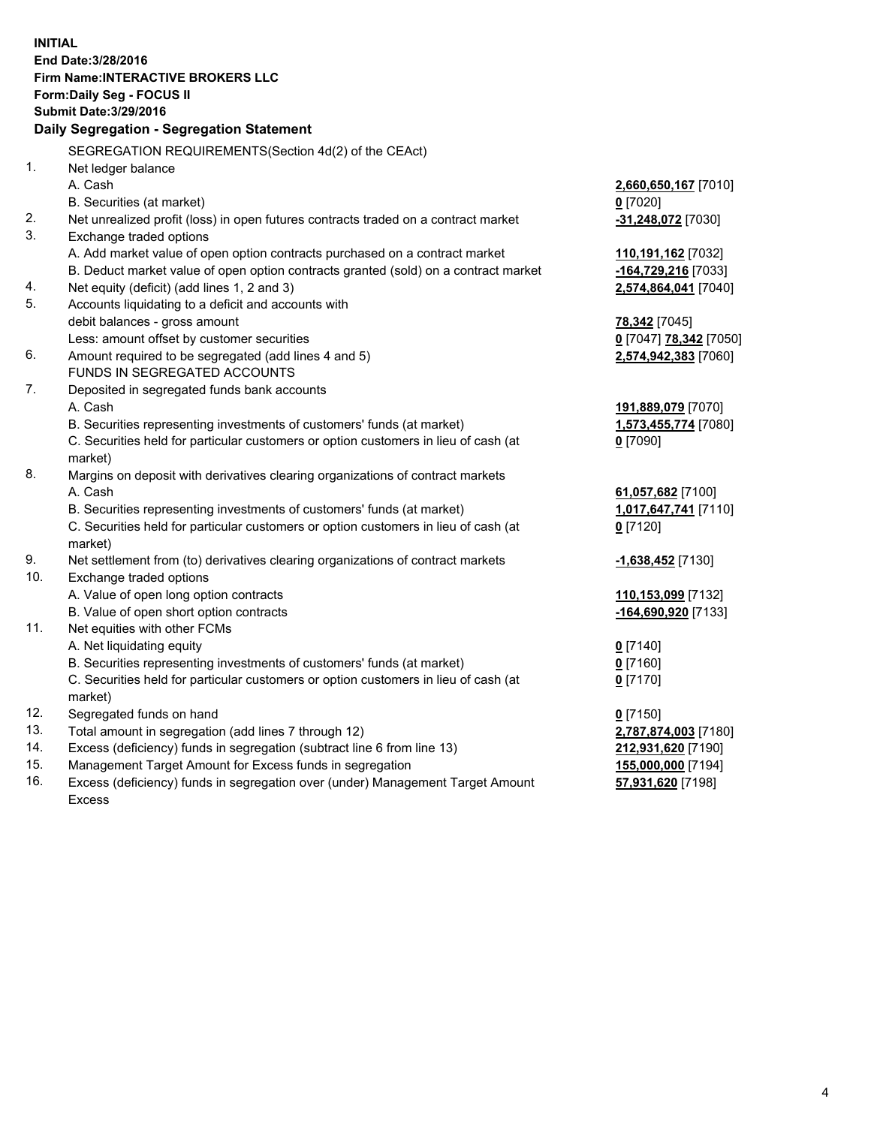**INITIAL End Date:3/28/2016 Firm Name:INTERACTIVE BROKERS LLC Form:Daily Seg - FOCUS II Submit Date:3/29/2016 Daily Segregation - Segregation Statement** SEGREGATION REQUIREMENTS(Section 4d(2) of the CEAct) 1. Net ledger balance A. Cash **2,660,650,167** [7010] B. Securities (at market) **0** [7020] 2. Net unrealized profit (loss) in open futures contracts traded on a contract market **-31,248,072** [7030] 3. Exchange traded options A. Add market value of open option contracts purchased on a contract market **110,191,162** [7032] B. Deduct market value of open option contracts granted (sold) on a contract market **-164,729,216** [7033] 4. Net equity (deficit) (add lines 1, 2 and 3) **2,574,864,041** [7040] 5. Accounts liquidating to a deficit and accounts with debit balances - gross amount **78,342** [7045] Less: amount offset by customer securities **0** [7047] **78,342** [7050] 6. Amount required to be segregated (add lines 4 and 5) **2,574,942,383** [7060] FUNDS IN SEGREGATED ACCOUNTS 7. Deposited in segregated funds bank accounts A. Cash **191,889,079** [7070] B. Securities representing investments of customers' funds (at market) **1,573,455,774** [7080] C. Securities held for particular customers or option customers in lieu of cash (at market) **0** [7090] 8. Margins on deposit with derivatives clearing organizations of contract markets A. Cash **61,057,682** [7100] B. Securities representing investments of customers' funds (at market) **1,017,647,741** [7110] C. Securities held for particular customers or option customers in lieu of cash (at market) **0** [7120] 9. Net settlement from (to) derivatives clearing organizations of contract markets **-1,638,452** [7130] 10. Exchange traded options A. Value of open long option contracts **110,153,099** [7132] B. Value of open short option contracts **-164,690,920** [7133] 11. Net equities with other FCMs A. Net liquidating equity **0** [7140] B. Securities representing investments of customers' funds (at market) **0** [7160] C. Securities held for particular customers or option customers in lieu of cash (at market) **0** [7170] 12. Segregated funds on hand **0** [7150] 13. Total amount in segregation (add lines 7 through 12) **2,787,874,003** [7180] 14. Excess (deficiency) funds in segregation (subtract line 6 from line 13) **212,931,620** [7190] 15. Management Target Amount for Excess funds in segregation **155,000,000** [7194]

16. Excess (deficiency) funds in segregation over (under) Management Target Amount Excess

**57,931,620** [7198]